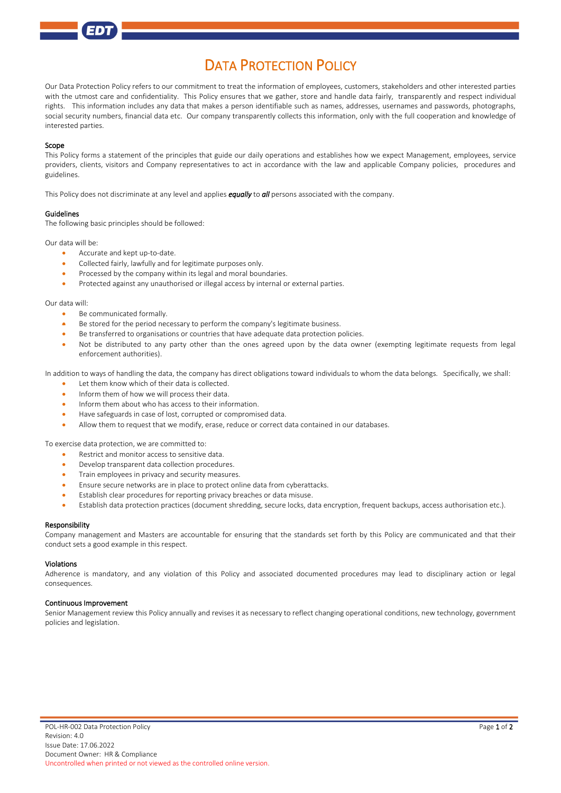# DATA PROTECTION POLICY

Our Data Protection Policy refers to our commitment to treat the information of employees, customers, stakeholders and other interested parties with the utmost care and confidentiality. This Policy ensures that we gather, store and handle data fairly, transparently and respect individual rights. This information includes any data that makes a person identifiable such as names, addresses, usernames and passwords, photographs, social security numbers, financial data etc. Our company transparently collects this information, only with the full cooperation and knowledge of interested parties.

### Scope

This Policy forms a statement of the principles that guide our daily operations and establishes how we expect Management, employees, service providers, clients, visitors and Company representatives to act in accordance with the law and applicable Company policies, procedures and guidelines.

This Policy does not discriminate at any level and applies *equally* to *all* persons associated with the company.

# Guidelines

The following basic principles should be followed:

Our data will be:

- Accurate and kept up-to-date.
- Collected fairly, lawfully and for legitimate purposes only.
- Processed by the company within its legal and moral boundaries.
- Protected against any unauthorised or illegal access by internal or external parties.

#### Our data will:

- Be communicated formally.
- Be stored for the period necessary to perform the company's legitimate business.
- Be transferred to organisations or countries that have adequate data protection policies.
- Not be distributed to any party other than the ones agreed upon by the data owner (exempting legitimate requests from legal enforcement authorities).

In addition to ways of handling the data, the company has direct obligations toward individuals to whom the data belongs. Specifically, we shall:

- Let them know which of their data is collected.
- Inform them of how we will process their data.
- Inform them about who has access to their information.
- Have safeguards in case of lost, corrupted or compromised data.
- Allow them to request that we modify, erase, reduce or correct data contained in our databases.

To exercise data protection, we are committed to:

- Restrict and monitor access to sensitive data.
- Develop transparent data collection procedures.
- Train employees in privacy and security measures.
- Ensure secure networks are in place to protect online data fro[m cyberattacks.](https://resources.workable.com/cyber-security-policy)
- Establish clear procedures for reporting privacy breaches or data misuse.
- Establish data protection practices (document shredding, secure locks, data encryption, frequent backups, access authorisation etc.).

#### Responsibility

Company management and Masters are accountable for ensuring that the standards set forth by this Policy are communicated and that their conduct sets a good example in this respect.

#### Violations

Adherence is mandatory, and any violation of this Policy and associated documented procedures may lead to disciplinary action or legal consequences.

## Continuous Improvement

Senior Management review this Policy annually and revises it as necessary to reflect changing operational conditions, new technology, government policies and legislation.